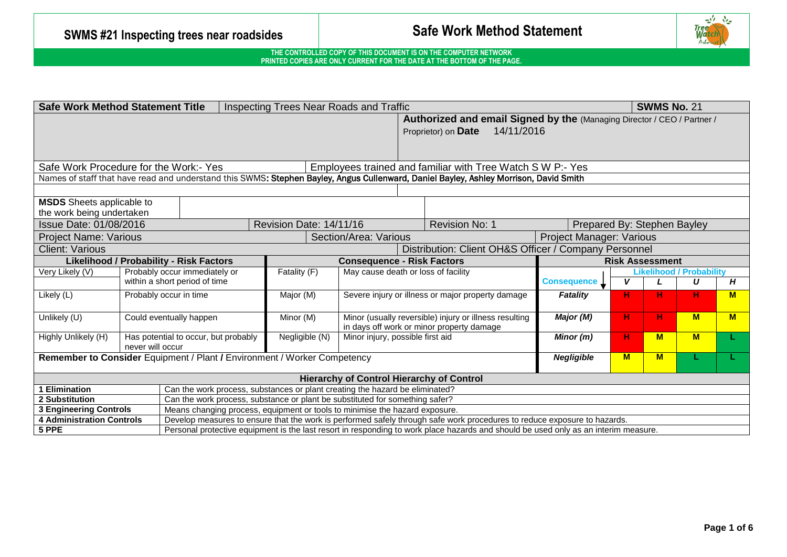

| <b>Safe Work Method Statement Title</b><br><b>SWMS No. 21</b><br>Inspecting Trees Near Roads and Traffic      |                                                                                                                                       |                         |                                                                             |                                                                                                                                     |                                 |   |   |                                 |   |  |
|---------------------------------------------------------------------------------------------------------------|---------------------------------------------------------------------------------------------------------------------------------------|-------------------------|-----------------------------------------------------------------------------|-------------------------------------------------------------------------------------------------------------------------------------|---------------------------------|---|---|---------------------------------|---|--|
| Authorized and email Signed by the (Managing Director / CEO / Partner /                                       |                                                                                                                                       |                         |                                                                             |                                                                                                                                     |                                 |   |   |                                 |   |  |
|                                                                                                               |                                                                                                                                       |                         |                                                                             | 14/11/2016<br>Proprietor) on Date                                                                                                   |                                 |   |   |                                 |   |  |
|                                                                                                               |                                                                                                                                       |                         |                                                                             |                                                                                                                                     |                                 |   |   |                                 |   |  |
|                                                                                                               |                                                                                                                                       |                         |                                                                             |                                                                                                                                     |                                 |   |   |                                 |   |  |
| Safe Work Procedure for the Work:- Yes<br>Employees trained and familiar with Tree Watch S W P:- Yes          |                                                                                                                                       |                         |                                                                             |                                                                                                                                     |                                 |   |   |                                 |   |  |
|                                                                                                               | Names of staff that have read and understand this SWMS: Stephen Bayley, Angus Cullenward, Daniel Bayley, Ashley Morrison, David Smith |                         |                                                                             |                                                                                                                                     |                                 |   |   |                                 |   |  |
|                                                                                                               |                                                                                                                                       |                         |                                                                             |                                                                                                                                     |                                 |   |   |                                 |   |  |
| <b>MSDS</b> Sheets applicable to                                                                              |                                                                                                                                       |                         |                                                                             |                                                                                                                                     |                                 |   |   |                                 |   |  |
| the work being undertaken                                                                                     |                                                                                                                                       |                         |                                                                             |                                                                                                                                     |                                 |   |   |                                 |   |  |
| Issue Date: 01/08/2016                                                                                        |                                                                                                                                       | Revision Date: 14/11/16 |                                                                             | Revision No: 1                                                                                                                      | Prepared By: Stephen Bayley     |   |   |                                 |   |  |
| <b>Project Name: Various</b>                                                                                  |                                                                                                                                       |                         | Section/Area: Various                                                       |                                                                                                                                     | <b>Project Manager: Various</b> |   |   |                                 |   |  |
| <b>Client: Various</b>                                                                                        |                                                                                                                                       |                         |                                                                             | Distribution: Client OH&S Officer / Company Personnel                                                                               |                                 |   |   |                                 |   |  |
| <b>Likelihood / Probability - Risk Factors</b><br><b>Consequence - Risk Factors</b><br><b>Risk Assessment</b> |                                                                                                                                       |                         |                                                                             |                                                                                                                                     |                                 |   |   |                                 |   |  |
| Very Likely (V)                                                                                               | Probably occur immediately or                                                                                                         | Fatality (F)            | May cause death or loss of facility                                         |                                                                                                                                     |                                 |   |   | <b>Likelihood / Probability</b> |   |  |
|                                                                                                               | within a short period of time                                                                                                         |                         |                                                                             |                                                                                                                                     |                                 |   |   | U                               | H |  |
| Likely (L)                                                                                                    | Probably occur in time                                                                                                                | Major (M)               |                                                                             | Severe injury or illness or major property damage                                                                                   | <b>Fatality</b>                 | н | н | н                               | M |  |
|                                                                                                               |                                                                                                                                       |                         |                                                                             |                                                                                                                                     |                                 |   |   |                                 |   |  |
| Unlikely (U)                                                                                                  | Could eventually happen                                                                                                               | Minor (M)               |                                                                             | Minor (usually reversible) injury or illness resulting                                                                              | Major (M)                       | н | н | <b>M</b>                        | M |  |
|                                                                                                               |                                                                                                                                       |                         | in days off work or minor property damage                                   |                                                                                                                                     |                                 |   |   |                                 |   |  |
| Highly Unlikely (H)                                                                                           | Has potential to occur, but probably<br>never will occur                                                                              | Negligible (N)          | Minor injury, possible first aid                                            |                                                                                                                                     | Minor (m)                       | н | M | <b>M</b>                        |   |  |
|                                                                                                               | <b>Negligible</b><br>$M$<br>Remember to Consider Equipment / Plant / Environment / Worker Competency<br>M<br>н.                       |                         |                                                                             |                                                                                                                                     |                                 |   |   |                                 |   |  |
|                                                                                                               |                                                                                                                                       |                         |                                                                             |                                                                                                                                     |                                 |   |   |                                 |   |  |
| <b>Hierarchy of Control Hierarchy of Control</b>                                                              |                                                                                                                                       |                         |                                                                             |                                                                                                                                     |                                 |   |   |                                 |   |  |
| 1 Elimination<br>Can the work process, substances or plant creating the hazard be eliminated?                 |                                                                                                                                       |                         |                                                                             |                                                                                                                                     |                                 |   |   |                                 |   |  |
| 2 Substitution                                                                                                | Can the work process, substance or plant be substituted for something safer?                                                          |                         |                                                                             |                                                                                                                                     |                                 |   |   |                                 |   |  |
| <b>3 Engineering Controls</b>                                                                                 |                                                                                                                                       |                         | Means changing process, equipment or tools to minimise the hazard exposure. |                                                                                                                                     |                                 |   |   |                                 |   |  |
| <b>4 Administration Controls</b>                                                                              |                                                                                                                                       |                         |                                                                             | Develop measures to ensure that the work is performed safely through safe work procedures to reduce exposure to hazards.            |                                 |   |   |                                 |   |  |
| 5 PPE                                                                                                         |                                                                                                                                       |                         |                                                                             | Personal protective equipment is the last resort in responding to work place hazards and should be used only as an interim measure. |                                 |   |   |                                 |   |  |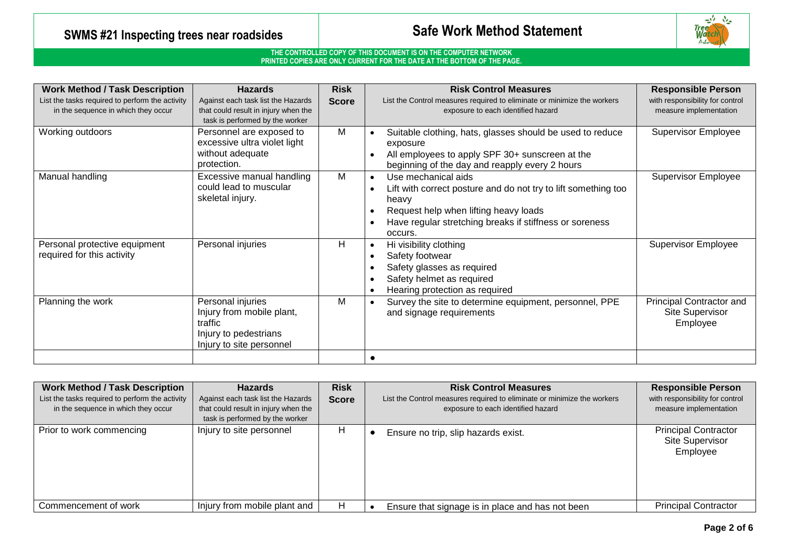# **SWMS #21 Inspecting trees near roadsides Safe Work Method Statement**



| <b>Work Method / Task Description</b>                                                  | <b>Hazards</b>                                                                                                 | <b>Risk</b>  | <b>Risk Control Measures</b>                                                                                                                                                                                  | <b>Responsible Person</b>                                 |
|----------------------------------------------------------------------------------------|----------------------------------------------------------------------------------------------------------------|--------------|---------------------------------------------------------------------------------------------------------------------------------------------------------------------------------------------------------------|-----------------------------------------------------------|
| List the tasks required to perform the activity<br>in the sequence in which they occur | Against each task list the Hazards<br>that could result in injury when the<br>task is performed by the worker  | <b>Score</b> | List the Control measures required to eliminate or minimize the workers<br>exposure to each identified hazard                                                                                                 | with responsibility for control<br>measure implementation |
| Working outdoors                                                                       | Personnel are exposed to<br>excessive ultra violet light<br>without adequate<br>protection.                    | M            | Suitable clothing, hats, glasses should be used to reduce<br>exposure<br>All employees to apply SPF 30+ sunscreen at the<br>beginning of the day and reapply every 2 hours                                    | <b>Supervisor Employee</b>                                |
| Manual handling                                                                        | Excessive manual handling<br>could lead to muscular<br>skeletal injury.                                        | M            | Use mechanical aids<br>Lift with correct posture and do not try to lift something too<br>heavy<br>Request help when lifting heavy loads<br>Have regular stretching breaks if stiffness or soreness<br>occurs. | <b>Supervisor Employee</b>                                |
| Personal protective equipment<br>required for this activity                            | Personal injuries                                                                                              | H            | Hi visibility clothing<br>Safety footwear<br>Safety glasses as required<br>Safety helmet as required<br>Hearing protection as required                                                                        | Supervisor Employee                                       |
| Planning the work                                                                      | Personal injuries<br>Injury from mobile plant,<br>traffic<br>Injury to pedestrians<br>Injury to site personnel | М            | Survey the site to determine equipment, personnel, PPE<br>and signage requirements                                                                                                                            | Principal Contractor and<br>Site Supervisor<br>Employee   |
|                                                                                        |                                                                                                                |              |                                                                                                                                                                                                               |                                                           |

| <b>Work Method / Task Description</b><br>List the tasks required to perform the activity<br>in the sequence in which they occur | <b>Hazards</b><br>Against each task list the Hazards<br>that could result in injury when the<br>task is performed by the worker | <b>Risk</b><br><b>Risk Control Measures</b><br>List the Control measures required to eliminate or minimize the workers<br><b>Score</b><br>exposure to each identified hazard |                                     |                                                  | <b>Responsible Person</b><br>with responsibility for control<br>measure implementation |
|---------------------------------------------------------------------------------------------------------------------------------|---------------------------------------------------------------------------------------------------------------------------------|------------------------------------------------------------------------------------------------------------------------------------------------------------------------------|-------------------------------------|--------------------------------------------------|----------------------------------------------------------------------------------------|
| Prior to work commencing                                                                                                        | Injury to site personnel                                                                                                        | H                                                                                                                                                                            | Ensure no trip, slip hazards exist. |                                                  | <b>Principal Contractor</b><br><b>Site Supervisor</b><br>Employee                      |
| Commencement of work                                                                                                            | Injury from mobile plant and                                                                                                    | H                                                                                                                                                                            |                                     | Ensure that signage is in place and has not been | <b>Principal Contractor</b>                                                            |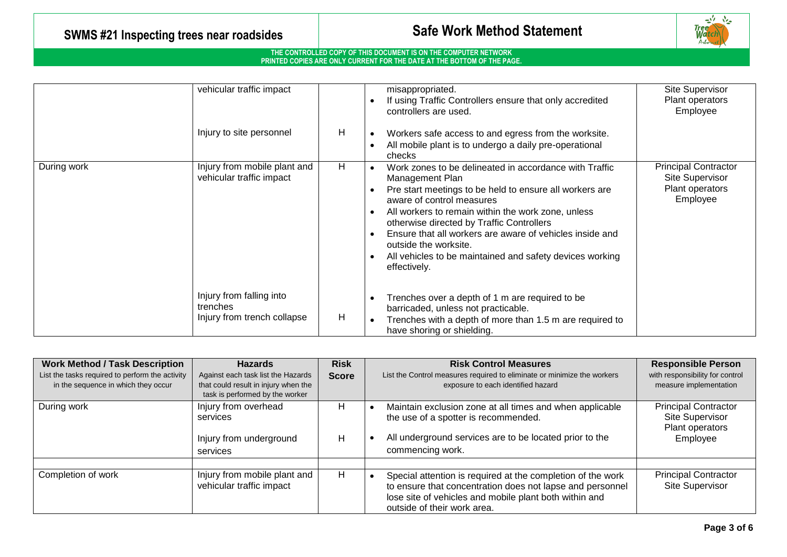# **SWMS #21 Inspecting trees near roadsides Safe Work Method Statement**

#### **THE CONTROLLED COPY OF THIS DOCUMENT IS ON THE COMPUTER NETWORK PRINTED COPIES ARE ONLY CURRENT FOR THE DATE AT THE BOTTOM OF THE PAGE.**

|                                                                         | vehicular traffic impact<br>Injury to site personnel                | H | misappropriated.<br>If using Traffic Controllers ensure that only accredited<br>controllers are used.<br>Workers safe access to and egress from the worksite.<br>All mobile plant is to undergo a daily pre-operational<br>checks                                                                                                                                                                                                     | <b>Site Supervisor</b><br>Plant operators<br>Employee                         |
|-------------------------------------------------------------------------|---------------------------------------------------------------------|---|---------------------------------------------------------------------------------------------------------------------------------------------------------------------------------------------------------------------------------------------------------------------------------------------------------------------------------------------------------------------------------------------------------------------------------------|-------------------------------------------------------------------------------|
| Injury from mobile plant and<br>During work<br>vehicular traffic impact |                                                                     | H | Work zones to be delineated in accordance with Traffic<br>Management Plan<br>Pre start meetings to be held to ensure all workers are<br>aware of control measures<br>All workers to remain within the work zone, unless<br>otherwise directed by Traffic Controllers<br>Ensure that all workers are aware of vehicles inside and<br>outside the worksite.<br>All vehicles to be maintained and safety devices working<br>effectively. | <b>Principal Contractor</b><br>Site Supervisor<br>Plant operators<br>Employee |
|                                                                         | Injury from falling into<br>trenches<br>Injury from trench collapse | H | Trenches over a depth of 1 m are required to be<br>barricaded, unless not practicable.<br>Trenches with a depth of more than 1.5 m are required to<br>have shoring or shielding.                                                                                                                                                                                                                                                      |                                                                               |

| <b>Work Method / Task Description</b><br>List the tasks required to perform the activity<br>in the sequence in which they occur | <b>Hazards</b><br>Against each task list the Hazards<br>that could result in injury when the<br>task is performed by the worker | <b>Risk</b><br><b>Score</b> | <b>Responsible Person</b><br><b>Risk Control Measures</b><br>with responsibility for control<br>List the Control measures required to eliminate or minimize the workers<br>measure implementation<br>exposure to each identified hazard                                    |
|---------------------------------------------------------------------------------------------------------------------------------|---------------------------------------------------------------------------------------------------------------------------------|-----------------------------|----------------------------------------------------------------------------------------------------------------------------------------------------------------------------------------------------------------------------------------------------------------------------|
| During work                                                                                                                     | Injury from overhead<br>services<br>Injury from underground<br>services                                                         | н<br>н                      | <b>Principal Contractor</b><br>Maintain exclusion zone at all times and when applicable<br><b>Site Supervisor</b><br>the use of a spotter is recommended.<br>Plant operators<br>All underground services are to be located prior to the<br>Employee<br>commencing work.    |
| Completion of work<br>Injury from mobile plant and<br>vehicular traffic impact                                                  |                                                                                                                                 | H.                          | <b>Principal Contractor</b><br>Special attention is required at the completion of the work<br><b>Site Supervisor</b><br>to ensure that concentration does not lapse and personnel<br>lose site of vehicles and mobile plant both within and<br>outside of their work area. |

些空

**Tree**<br>Wat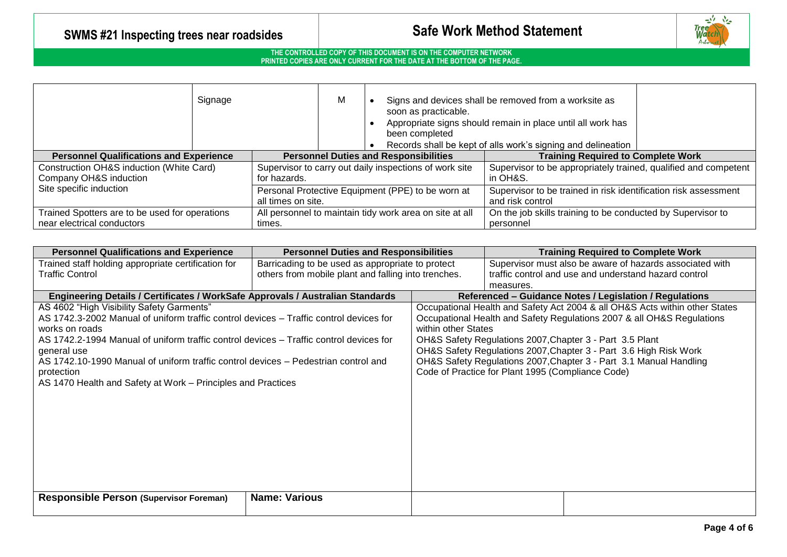

| Signage                                                                      |  | M                                                                       |  | soon as practicable.<br>been completed                                      | Signs and devices shall be removed from a worksite as<br>Appropriate signs should remain in place until all work has<br>Records shall be kept of alls work's signing and delineation |                                                                                     |  |
|------------------------------------------------------------------------------|--|-------------------------------------------------------------------------|--|-----------------------------------------------------------------------------|--------------------------------------------------------------------------------------------------------------------------------------------------------------------------------------|-------------------------------------------------------------------------------------|--|
| <b>Personnel Qualifications and Experience</b>                               |  | <b>Personnel Duties and Responsibilities</b>                            |  | <b>Training Required to Complete Work</b>                                   |                                                                                                                                                                                      |                                                                                     |  |
| Construction OH&S induction (White Card)<br>Company OH&S induction           |  | Supervisor to carry out daily inspections of work site<br>for hazards.  |  | Supervisor to be appropriately trained, qualified and competent<br>in OH&S. |                                                                                                                                                                                      |                                                                                     |  |
| Site specific induction                                                      |  | Personal Protective Equipment (PPE) to be worn at<br>all times on site. |  |                                                                             |                                                                                                                                                                                      | Supervisor to be trained in risk identification risk assessment<br>and risk control |  |
| Trained Spotters are to be used for operations<br>near electrical conductors |  | All personnel to maintain tidy work area on site at all<br>times.       |  | On the job skills training to be conducted by Supervisor to<br>personnel    |                                                                                                                                                                                      |                                                                                     |  |

| <b>Personnel Qualifications and Experience</b>                                                                                                                                                                                                                                                                                                                                                                                     | <b>Personnel Duties and Responsibilities</b>        |                                                         | <b>Training Required to Complete Work</b>                                                                                                                                                                                                                                                                                                                                                                         |  |  |  |
|------------------------------------------------------------------------------------------------------------------------------------------------------------------------------------------------------------------------------------------------------------------------------------------------------------------------------------------------------------------------------------------------------------------------------------|-----------------------------------------------------|---------------------------------------------------------|-------------------------------------------------------------------------------------------------------------------------------------------------------------------------------------------------------------------------------------------------------------------------------------------------------------------------------------------------------------------------------------------------------------------|--|--|--|
| Trained staff holding appropriate certification for                                                                                                                                                                                                                                                                                                                                                                                | Barricading to be used as appropriate to protect    |                                                         | Supervisor must also be aware of hazards associated with                                                                                                                                                                                                                                                                                                                                                          |  |  |  |
| <b>Traffic Control</b>                                                                                                                                                                                                                                                                                                                                                                                                             | others from mobile plant and falling into trenches. |                                                         | traffic control and use and understand hazard control                                                                                                                                                                                                                                                                                                                                                             |  |  |  |
|                                                                                                                                                                                                                                                                                                                                                                                                                                    |                                                     |                                                         | measures.                                                                                                                                                                                                                                                                                                                                                                                                         |  |  |  |
| Engineering Details / Certificates / WorkSafe Approvals / Australian Standards                                                                                                                                                                                                                                                                                                                                                     |                                                     | Referenced - Guidance Notes / Legislation / Regulations |                                                                                                                                                                                                                                                                                                                                                                                                                   |  |  |  |
| AS 4602 "High Visibility Safety Garments"<br>AS 1742.3-2002 Manual of uniform traffic control devices - Traffic control devices for<br>works on roads<br>AS 1742.2-1994 Manual of uniform traffic control devices – Traffic control devices for<br>general use<br>AS 1742.10-1990 Manual of uniform traffic control devices – Pedestrian control and<br>protection<br>AS 1470 Health and Safety at Work – Principles and Practices |                                                     | within other States                                     | Occupational Health and Safety Act 2004 & all OH&S Acts within other States<br>Occupational Health and Safety Regulations 2007 & all OH&S Regulations<br>OH&S Safety Regulations 2007, Chapter 3 - Part 3.5 Plant<br>OH&S Safety Regulations 2007, Chapter 3 - Part 3.6 High Risk Work<br>OH&S Safety Regulations 2007, Chapter 3 - Part 3.1 Manual Handling<br>Code of Practice for Plant 1995 (Compliance Code) |  |  |  |
| <b>Responsible Person (Supervisor Foreman)</b>                                                                                                                                                                                                                                                                                                                                                                                     | <b>Name: Various</b>                                |                                                         |                                                                                                                                                                                                                                                                                                                                                                                                                   |  |  |  |
|                                                                                                                                                                                                                                                                                                                                                                                                                                    |                                                     |                                                         |                                                                                                                                                                                                                                                                                                                                                                                                                   |  |  |  |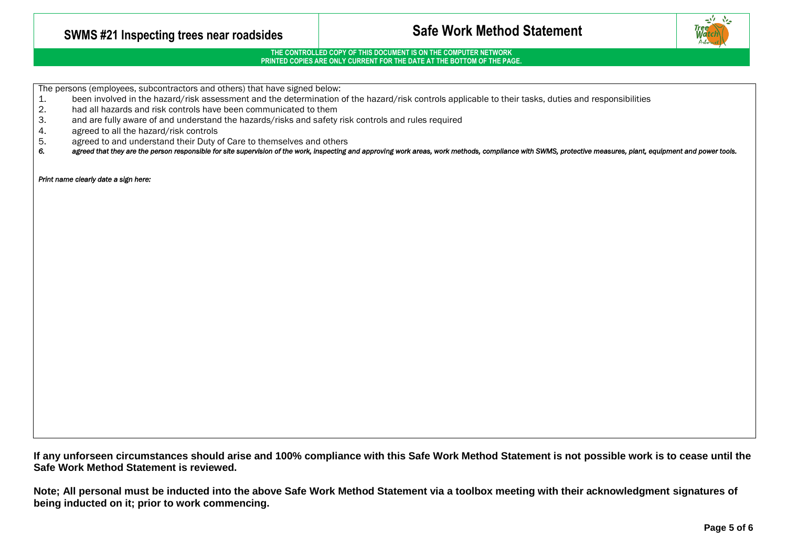## **SWMS #21 Inspecting trees near roadsides Safe Work Method Statement**

### **THE CONTROLLED COPY OF THIS DOCUMENT IS ON THE COMPUTER NETWORK PRINTED COPIES ARE ONLY CURRENT FOR THE DATE AT THE BOTTOM OF THE PAGE.**

The persons (employees, subcontractors and others) that have signed below:

- 1. been involved in the hazard/risk assessment and the determination of the hazard/risk controls applicable to their tasks, duties and responsibilities<br>2. had all hazards and risk controls have been communicated to them
- 2. had all hazards and risk controls have been communicated to them<br>3. and are fully aware of and understand the hazards/risks and safety
- and are fully aware of and understand the hazards/risks and safety risk controls and rules required
- 4. agreed to all the hazard/risk controls<br>5. agreed to and understand their Duty
- 5. agreed to and understand their Duty of Care to themselves and others<br>6. agreed that they are the person responsible for site supervision of the work, inspecting
- agreed that they are the person responsible for site supervision of the work, inspecting and approving work areas, work methods, compliance with SWMS, protective measures, plant, equipment and power tools.

*Print name clearly date a sign here:* 

**If any unforseen circumstances should arise and 100% compliance with this Safe Work Method Statement is not possible work is to cease until the Safe Work Method Statement is reviewed.**

**Note; All personal must be inducted into the above Safe Work Method Statement via a toolbox meeting with their acknowledgment signatures of being inducted on it; prior to work commencing.**

<u>المليه</u>